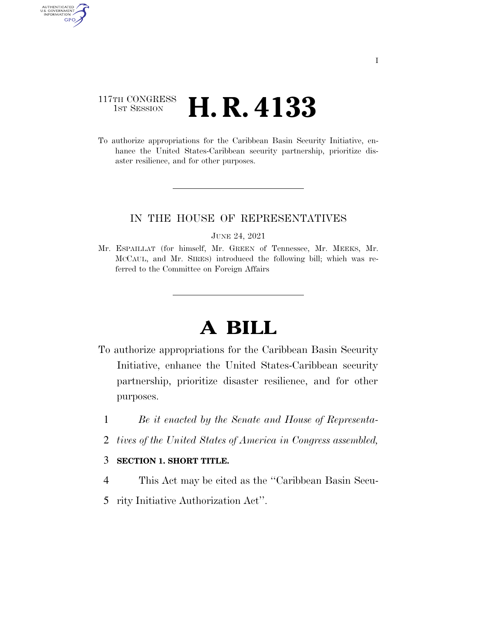### 117TH CONGRESS <sup>TH CONGRESS</sup>  $H.R. 4133$

AUTHENTICATED U.S. GOVERNMENT GPO

> To authorize appropriations for the Caribbean Basin Security Initiative, enhance the United States-Caribbean security partnership, prioritize disaster resilience, and for other purposes.

#### IN THE HOUSE OF REPRESENTATIVES

JUNE 24, 2021

Mr. ESPAILLAT (for himself, Mr. GREEN of Tennessee, Mr. MEEKS, Mr. MCCAUL, and Mr. SIRES) introduced the following bill; which was referred to the Committee on Foreign Affairs

# **A BILL**

- To authorize appropriations for the Caribbean Basin Security Initiative, enhance the United States-Caribbean security partnership, prioritize disaster resilience, and for other purposes.
	- 1 *Be it enacted by the Senate and House of Representa-*
	- 2 *tives of the United States of America in Congress assembled,*

#### 3 **SECTION 1. SHORT TITLE.**

- 4 This Act may be cited as the ''Caribbean Basin Secu-
- 5 rity Initiative Authorization Act''.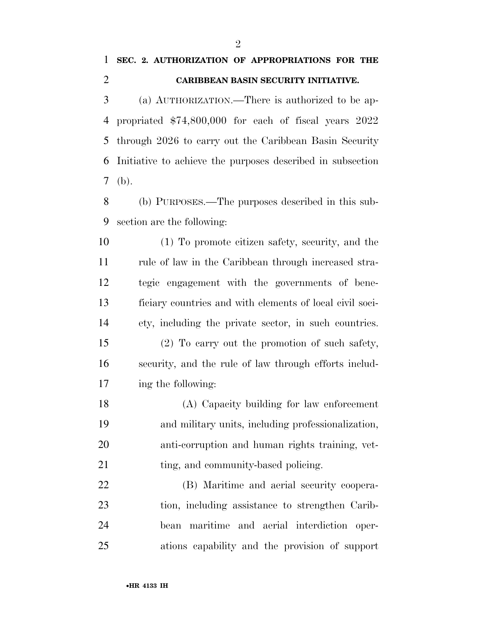## **SEC. 2. AUTHORIZATION OF APPROPRIATIONS FOR THE CARIBBEAN BASIN SECURITY INITIATIVE.**

 (a) AUTHORIZATION.—There is authorized to be ap- propriated \$74,800,000 for each of fiscal years 2022 through 2026 to carry out the Caribbean Basin Security Initiative to achieve the purposes described in subsection (b).

 (b) PURPOSES.—The purposes described in this sub-section are the following:

 (1) To promote citizen safety, security, and the 11 rule of law in the Caribbean through increased stra- tegic engagement with the governments of bene- ficiary countries and with elements of local civil soci-ety, including the private sector, in such countries.

 (2) To carry out the promotion of such safety, security, and the rule of law through efforts includ-ing the following:

 (A) Capacity building for law enforcement and military units, including professionalization, anti-corruption and human rights training, vet-21 ting, and community-based policing.

 (B) Maritime and aerial security coopera- tion, including assistance to strengthen Carib- bean maritime and aerial interdiction oper-ations capability and the provision of support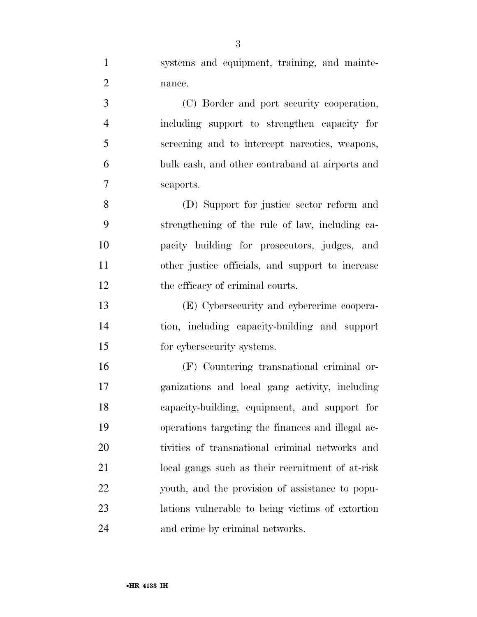systems and equipment, training, and mainte-nance.

 (C) Border and port security cooperation, including support to strengthen capacity for screening and to intercept narcotics, weapons, bulk cash, and other contraband at airports and seaports.

 (D) Support for justice sector reform and strengthening of the rule of law, including ca- pacity building for prosecutors, judges, and other justice officials, and support to increase 12 the efficacy of criminal courts.

 (E) Cybersecurity and cybercrime coopera- tion, including capacity-building and support for cybersecurity systems.

 (F) Countering transnational criminal or- ganizations and local gang activity, including capacity-building, equipment, and support for operations targeting the finances and illegal ac- tivities of transnational criminal networks and local gangs such as their recruitment of at-risk youth, and the provision of assistance to popu- lations vulnerable to being victims of extortion and crime by criminal networks.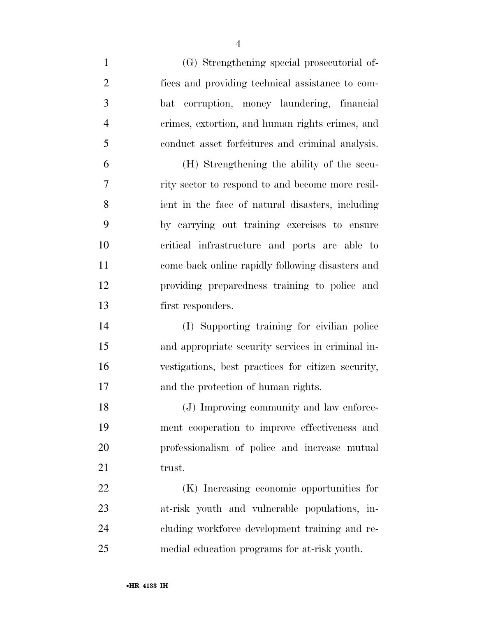| $\mathbf{1}$   | (G) Strengthening special prosecutorial of-        |
|----------------|----------------------------------------------------|
| $\overline{2}$ | fices and providing technical assistance to com-   |
| 3              | corruption, money laundering, financial<br>bat     |
| $\overline{4}$ | crimes, extortion, and human rights crimes, and    |
| 5              | conduct asset forfeitures and criminal analysis.   |
| 6              | (H) Strengthening the ability of the secu-         |
| 7              | rity sector to respond to and become more resil-   |
| 8              | ient in the face of natural disasters, including   |
| 9              | by carrying out training exercises to ensure       |
| 10             | critical infrastructure and ports are able to      |
| 11             | come back online rapidly following disasters and   |
| 12             | providing preparedness training to police and      |
| 13             | first responders.                                  |
| 14             | (I) Supporting training for civilian police        |
| 15             | and appropriate security services in criminal in-  |
| 16             | vestigations, best practices for citizen security, |
| 17             | and the protection of human rights.                |
| 18             | (J) Improving community and law enforce-           |
| 19             | ment cooperation to improve effectiveness and      |
| 20             | professionalism of police and increase mutual      |
| 21             | trust.                                             |
| 22             | (K) Increasing economic opportunities for          |
| 23             | at-risk youth and vulnerable populations, in-      |
| 24             | cluding workforce development training and re-     |
| 25             | medial education programs for at-risk youth.       |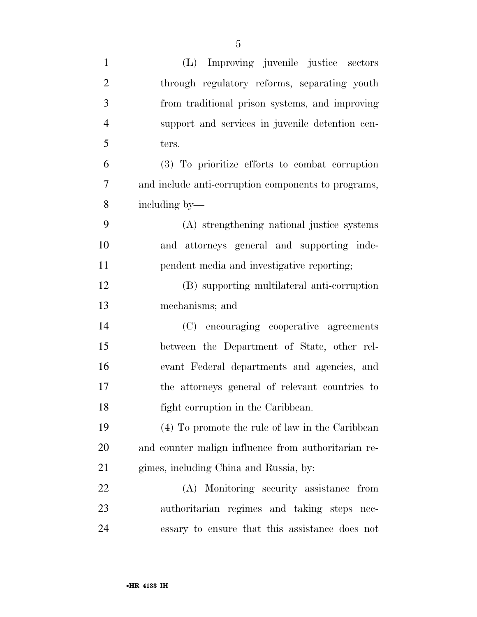| $\mathbf{1}$   | (L) Improving juvenile justice sectors              |
|----------------|-----------------------------------------------------|
| $\overline{2}$ | through regulatory reforms, separating youth        |
| 3              | from traditional prison systems, and improving      |
| $\overline{4}$ | support and services in juvenile detention cen-     |
| 5              | ters.                                               |
| 6              | (3) To prioritize efforts to combat corruption      |
| 7              | and include anti-corruption components to programs, |
| 8              | including by—                                       |
| 9              | (A) strengthening national justice systems          |
| 10             | and attorneys general and supporting inde-          |
| 11             | pendent media and investigative reporting;          |
| 12             | (B) supporting multilateral anti-corruption         |
| 13             | mechanisms; and                                     |
| 14             | (C) encouraging cooperative agreements              |
| 15             | between the Department of State, other rel-         |
| 16             | evant Federal departments and agencies, and         |
| 17             | the attorneys general of relevant countries to      |
| 18             | fight corruption in the Caribbean.                  |
| 19             | (4) To promote the rule of law in the Caribbean     |
| 20             | and counter malign influence from authoritarian re- |
| 21             | gimes, including China and Russia, by:              |
| 22             | (A) Monitoring security assistance from             |
| 23             | authoritarian regimes and taking steps nec-         |
| 24             | essary to ensure that this assistance does not      |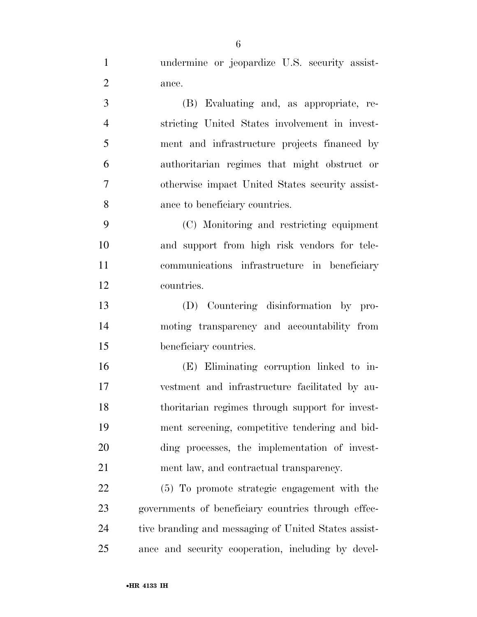undermine or jeopardize U.S. security assist-ance.

 (B) Evaluating and, as appropriate, re- stricting United States involvement in invest- ment and infrastructure projects financed by authoritarian regimes that might obstruct or otherwise impact United States security assist-ance to beneficiary countries.

 (C) Monitoring and restricting equipment and support from high risk vendors for tele- communications infrastructure in beneficiary countries.

 (D) Countering disinformation by pro- moting transparency and accountability from beneficiary countries.

 (E) Eliminating corruption linked to in- vestment and infrastructure facilitated by au- thoritarian regimes through support for invest- ment screening, competitive tendering and bid- ding processes, the implementation of invest-ment law, and contractual transparency.

 (5) To promote strategic engagement with the governments of beneficiary countries through effec-24 tive branding and messaging of United States assist-ance and security cooperation, including by devel-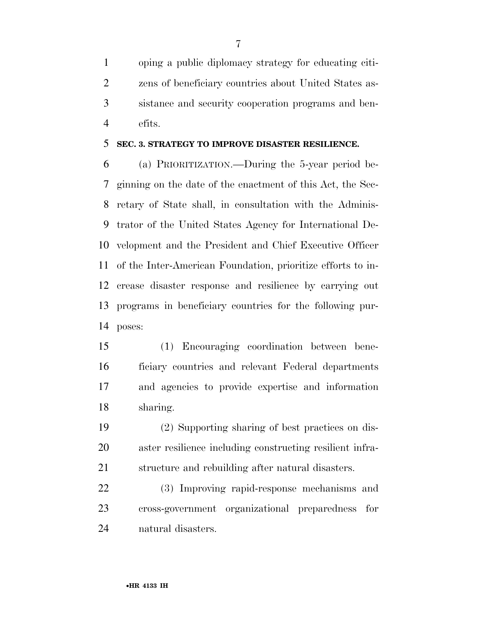oping a public diplomacy strategy for educating citi- zens of beneficiary countries about United States as- sistance and security cooperation programs and ben-efits.

#### **SEC. 3. STRATEGY TO IMPROVE DISASTER RESILIENCE.**

 (a) PRIORITIZATION.—During the 5-year period be- ginning on the date of the enactment of this Act, the Sec- retary of State shall, in consultation with the Adminis- trator of the United States Agency for International De- velopment and the President and Chief Executive Officer of the Inter-American Foundation, prioritize efforts to in- crease disaster response and resilience by carrying out programs in beneficiary countries for the following pur-poses:

 (1) Encouraging coordination between bene- ficiary countries and relevant Federal departments and agencies to provide expertise and information sharing.

 (2) Supporting sharing of best practices on dis- aster resilience including constructing resilient infra-structure and rebuilding after natural disasters.

 (3) Improving rapid-response mechanisms and cross-government organizational preparedness for natural disasters.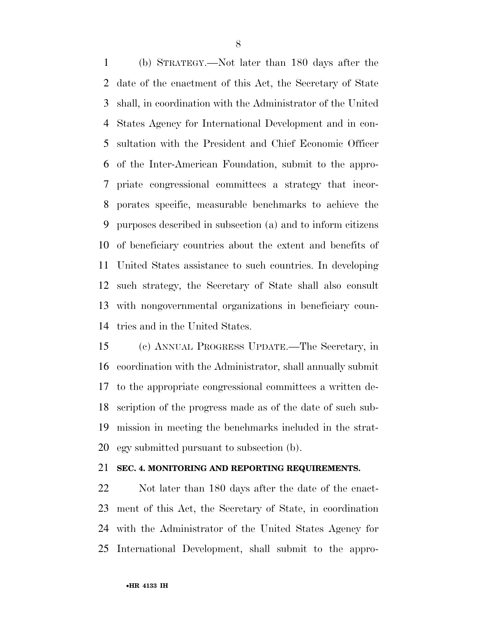(b) STRATEGY.—Not later than 180 days after the date of the enactment of this Act, the Secretary of State shall, in coordination with the Administrator of the United States Agency for International Development and in con- sultation with the President and Chief Economic Officer of the Inter-American Foundation, submit to the appro- priate congressional committees a strategy that incor- porates specific, measurable benchmarks to achieve the purposes described in subsection (a) and to inform citizens of beneficiary countries about the extent and benefits of United States assistance to such countries. In developing such strategy, the Secretary of State shall also consult with nongovernmental organizations in beneficiary coun-tries and in the United States.

 (c) ANNUAL PROGRESS UPDATE.—The Secretary, in coordination with the Administrator, shall annually submit to the appropriate congressional committees a written de- scription of the progress made as of the date of such sub- mission in meeting the benchmarks included in the strat-egy submitted pursuant to subsection (b).

#### **SEC. 4. MONITORING AND REPORTING REQUIREMENTS.**

 Not later than 180 days after the date of the enact- ment of this Act, the Secretary of State, in coordination with the Administrator of the United States Agency for International Development, shall submit to the appro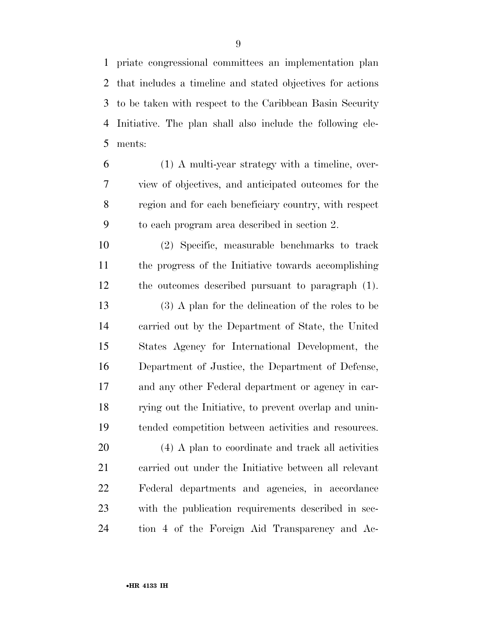priate congressional committees an implementation plan that includes a timeline and stated objectives for actions to be taken with respect to the Caribbean Basin Security Initiative. The plan shall also include the following ele-ments:

 (1) A multi-year strategy with a timeline, over- view of objectives, and anticipated outcomes for the region and for each beneficiary country, with respect to each program area described in section 2.

 (2) Specific, measurable benchmarks to track the progress of the Initiative towards accomplishing the outcomes described pursuant to paragraph (1). (3) A plan for the delineation of the roles to be carried out by the Department of State, the United States Agency for International Development, the Department of Justice, the Department of Defense, and any other Federal department or agency in car-rying out the Initiative, to prevent overlap and unin-

 (4) A plan to coordinate and track all activities carried out under the Initiative between all relevant Federal departments and agencies, in accordance with the publication requirements described in sec-tion 4 of the Foreign Aid Transparency and Ac-

tended competition between activities and resources.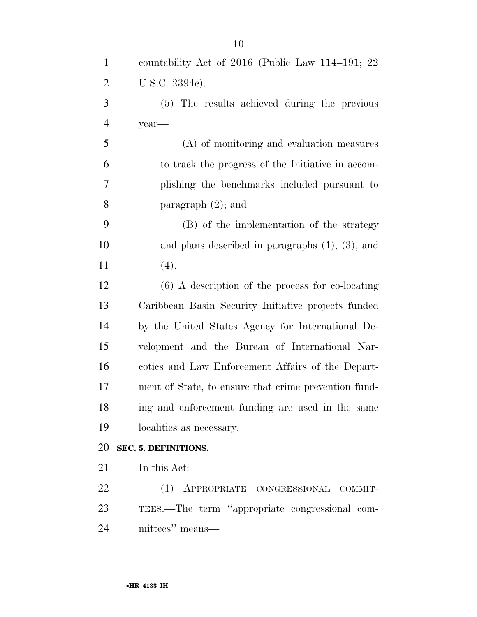| $\mathbf{1}$   | countability Act of $2016$ (Public Law 114–191; 22)   |
|----------------|-------------------------------------------------------|
| $\overline{2}$ | U.S.C. 2394c).                                        |
| 3              | (5) The results achieved during the previous          |
| $\overline{4}$ | year-                                                 |
| 5              | (A) of monitoring and evaluation measures             |
| 6              | to track the progress of the Initiative in accom-     |
| 7              | plishing the benchmarks included pursuant to          |
| 8              | paragraph $(2)$ ; and                                 |
| 9              | (B) of the implementation of the strategy             |
| 10             | and plans described in paragraphs $(1)$ , $(3)$ , and |
| 11             | (4).                                                  |
| 12             | $(6)$ A description of the process for co-locating    |
| 13             | Caribbean Basin Security Initiative projects funded   |
| 14             | by the United States Agency for International De-     |
| 15             | velopment and the Bureau of International Nar-        |
| 16             | cotics and Law Enforcement Affairs of the Depart-     |
| 17             | ment of State, to ensure that crime prevention fund-  |
| 18             | ing and enforcement funding are used in the same      |
| 19             | localities as necessary.                              |
| 20             | SEC. 5. DEFINITIONS.                                  |
| 21             | In this Act:                                          |
| 22             | (1) APPROPRIATE CONGRESSIONAL COMMIT-                 |
| 23             | TEES.—The term "appropriate congressional com-        |
| 24             | mittees" means—                                       |
|                |                                                       |